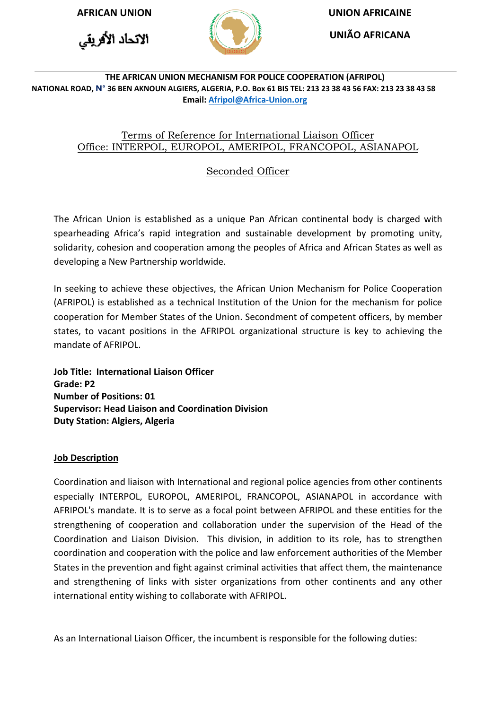الاتحاد الأفريقي



**AFRICAN UNION UNION AFRICAINE**

**UNIÃO AFRICANA**

#### **THE AFRICAN UNION MECHANISM FOR POLICE COOPERATION (AFRIPOL) NATIONAL ROAD, N° 36 BEN AKNOUN ALGIERS, ALGERIA, P.O. Box 61 BIS TEL: 213 23 38 43 56 FAX: 213 23 38 43 58 Email[: Afripol@Africa-Union.org](mailto:Afripol@Africa-Union.org)**

# Terms of Reference for International Liaison Officer Office: INTERPOL, EUROPOL, AMERIPOL, FRANCOPOL, ASIANAPOL

# Seconded Officer

The African Union is established as a unique Pan African continental body is charged with spearheading Africa's rapid integration and sustainable development by promoting unity, solidarity, cohesion and cooperation among the peoples of Africa and African States as well as developing a New Partnership worldwide.

In seeking to achieve these objectives, the African Union Mechanism for Police Cooperation (AFRIPOL) is established as a technical Institution of the Union for the mechanism for police cooperation for Member States of the Union. Secondment of competent officers, by member states, to vacant positions in the AFRIPOL organizational structure is key to achieving the mandate of AFRIPOL.

**Job Title: International Liaison Officer Grade: P2 Number of Positions: 01 Supervisor: Head Liaison and Coordination Division Duty Station: Algiers, Algeria** 

## **Job Description**

Coordination and liaison with International and regional police agencies from other continents especially INTERPOL, EUROPOL, AMERIPOL, FRANCOPOL, ASIANAPOL in accordance with AFRIPOL's mandate. It is to serve as a focal point between AFRIPOL and these entities for the strengthening of cooperation and collaboration under the supervision of the Head of the Coordination and Liaison Division. This division, in addition to its role, has to strengthen coordination and cooperation with the police and law enforcement authorities of the Member States in the prevention and fight against criminal activities that affect them, the maintenance and strengthening of links with sister organizations from other continents and any other international entity wishing to collaborate with AFRIPOL.

As an International Liaison Officer, the incumbent is responsible for the following duties: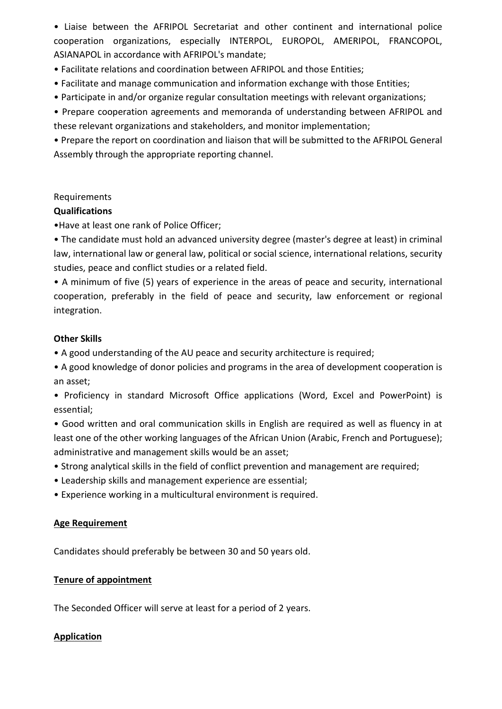• Liaise between the AFRIPOL Secretariat and other continent and international police cooperation organizations, especially INTERPOL, EUROPOL, AMERIPOL, FRANCOPOL, ASIANAPOL in accordance with AFRIPOL's mandate;

- Facilitate relations and coordination between AFRIPOL and those Entities;
- Facilitate and manage communication and information exchange with those Entities;
- Participate in and/or organize regular consultation meetings with relevant organizations;
- Prepare cooperation agreements and memoranda of understanding between AFRIPOL and these relevant organizations and stakeholders, and monitor implementation;

• Prepare the report on coordination and liaison that will be submitted to the AFRIPOL General Assembly through the appropriate reporting channel.

#### Requirements

#### **Qualifications**

•Have at least one rank of Police Officer;

• The candidate must hold an advanced university degree (master's degree at least) in criminal law, international law or general law, political or social science, international relations, security studies, peace and conflict studies or a related field.

• A minimum of five (5) years of experience in the areas of peace and security, international cooperation, preferably in the field of peace and security, law enforcement or regional integration.

## **Other Skills**

• A good understanding of the AU peace and security architecture is required;

- A good knowledge of donor policies and programs in the area of development cooperation is an asset;
- Proficiency in standard Microsoft Office applications (Word, Excel and PowerPoint) is essential;

• Good written and oral communication skills in English are required as well as fluency in at least one of the other working languages of the African Union (Arabic, French and Portuguese); administrative and management skills would be an asset;

- Strong analytical skills in the field of conflict prevention and management are required;
- Leadership skills and management experience are essential;
- Experience working in a multicultural environment is required.

## **Age Requirement**

Candidates should preferably be between 30 and 50 years old.

#### **Tenure of appointment**

The Seconded Officer will serve at least for a period of 2 years.

## **Application**